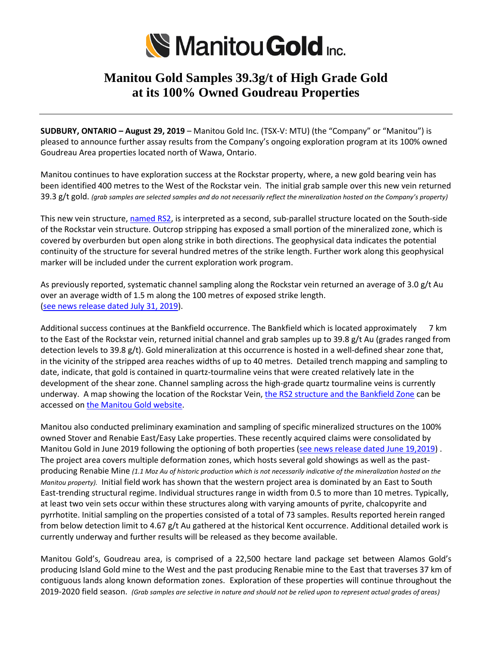

## **Manitou Gold Samples 39.3g/t of High Grade Gold at its 100% Owned Goudreau Properties**

**SUDBURY, ONTARIO – August 29, 2019** – Manitou Gold Inc. (TSX-V: MTU) (the "Company" or "Manitou") is pleased to announce further assay results from the Company's ongoing exploration program at its 100% owned Goudreau Area properties located north of Wawa, Ontario.

Manitou continues to have exploration success at the Rockstar property, where, a new gold bearing vein has been identified 400 metres to the West of the Rockstar vein. The initial grab sample over this new vein returned 39.3 g/t gold. *(grab samples are selected samples and do not necessarily reflect the mineralization hosted on the Company's property)*

This new vein structure, [named RS2,](http://manitougold.com/_resources/maps/Plan-map-showing-RS2-structure-in-relation-to-Rockstar-vein.pdf) is interpreted as a second, sub-parallel structure located on the South-side of the Rockstar vein structure. Outcrop stripping has exposed a small portion of the mineralized zone, which is covered by overburden but open along strike in both directions. The geophysical data indicates the potential continuity of the structure for several hundred metres of the strike length. Further work along this geophysical marker will be included under the current exploration work program.

As previously reported, systematic channel sampling along the Rockstar vein returned an average of 3.0 g/t Au over an average width of 1.5 m along the 100 metres of exposed strike length. [\(see news release dated July 31, 2019\)](http://manitougold.com/_resources/news/nr-20190731.pdf).

Additional success continues at the Bankfield occurrence. The Bankfield which is located approximately 7 km to the East of the Rockstar vein, returned initial channel and grab samples up to 39.8 g/t Au (grades ranged from detection levels to 39.8 g/t). Gold mineralization at this occurrence is hosted in a well-defined shear zone that, in the vicinity of the stripped area reaches widths of up to 40 metres. Detailed trench mapping and sampling to date, indicate, that gold is contained in quartz-tourmaline veins that were created relatively late in the development of the shear zone. Channel sampling across the high-grade quartz tourmaline veins is currently underway. A map showing the location of the Rockstar Vein[, the RS2 structure and the Bankfield Zone](http://manitougold.com/_resources/maps/Plan-map-showing-RS2-structure-in-relation-to-Rockstar-vein.pdf) can be accessed on [the Manitou Gold website.](http://manitougold.com/)

Manitou also conducted preliminary examination and sampling of specific mineralized structures on the 100% owned Stover and Renabie East/Easy Lake properties. These recently acquired claims were consolidated by Manitou Gold in June 2019 following the optioning of both properties [\(see news release dated June 19,2019\)](http://manitougold.com/_resources/news/nr-20190619.pdf). The project area covers multiple deformation zones, which hosts several gold showings as well as the pastproducing Renabie Mine *(1.1 Moz Au of historic production which is not necessarily indicative of the mineralization hosted on the Manitou property).* Initial field work has shown that the western project area is dominated by an East to South East-trending structural regime. Individual structures range in width from 0.5 to more than 10 metres. Typically, at least two vein sets occur within these structures along with varying amounts of pyrite, chalcopyrite and pyrrhotite. Initial sampling on the properties consisted of a total of 73 samples. Results reported herein ranged from below detection limit to 4.67 g/t Au gathered at the historical Kent occurrence. Additional detailed work is currently underway and further results will be released as they become available.

Manitou Gold's, Goudreau area, is comprised of a 22,500 hectare land package set between Alamos Gold's producing Island Gold mine to the West and the past producing Renabie mine to the East that traverses 37 km of contiguous lands along known deformation zones. Exploration of these properties will continue throughout the 2019-2020 field season. *(Grab samples are selective in nature and should not be relied upon to represent actual grades of areas)*